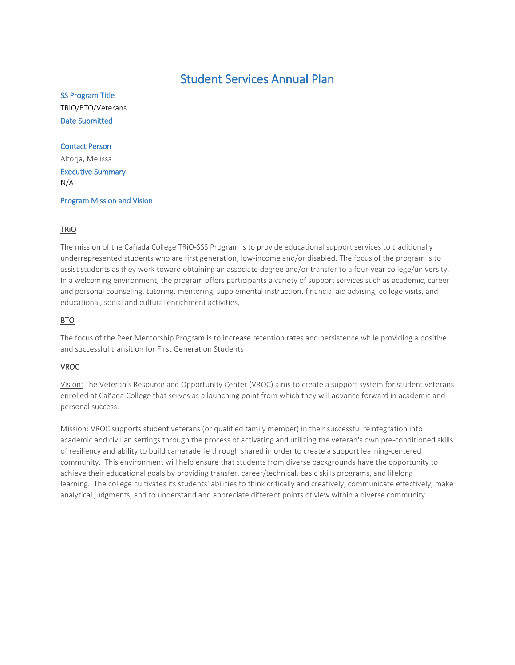## Student Services Annual Plan

SS Program Title TRiO/BTO/Veterans Date Submitted

## Contact Person

Alforja, Melissa Executive Summary N/A

Program Mission and Vision

## TRiO

The mission of the Cañada College TRiO-SSS Program is to provide educational support services to traditionally underrepresented students who are first generation, low-income and/or disabled. The focus of the program is to assist students as they work toward obtaining an associate degree and/or transfer to a four-year college/university. In a welcoming environment, the program offers participants a variety of support services such as academic, career and personal counseling, tutoring, mentoring, supplemental instruction, financial aid advising, college visits, and educational, social and cultural enrichment activities.

## BTO

The focus of the Peer Mentorship Program is to increase retention rates and persistence while providing a positive and successful transition for First Generation Students

## VROC

Vision: The Veteran's Resource and Opportunity Center (VROC) aims to create a support system for student veterans enrolled at Cañada College that serves as a launching point from which they will advance forward in academic and personal success.

Mission: VROC supports student veterans (or qualified family member) in their successful reintegration into academic and civilian settings through the process of activating and utilizing the veteran's own pre-conditioned skills of resiliency and ability to build camaraderie through shared in order to create a support learning-centered community. This environment will help ensure that students from diverse backgrounds have the opportunity to achieve their educational goals by providing transfer, career/technical, basic skills programs, and lifelong learning. The college cultivates its students' abilities to think critically and creatively, communicate effectively, make analytical judgments, and to understand and appreciate different points of view within a diverse community.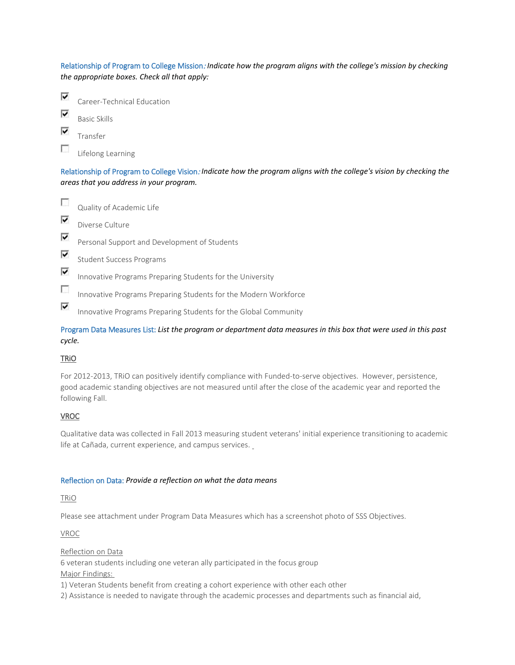Relationship of Program to College Mission: *Indicate how the program aligns with the college's mission by checking the appropriate boxes. Check all that apply:*



Lifelong Learning

Relationship of Program to College Vision: *Indicate how the program aligns with the college's vision by checking the areas that you address in your program.*

П Quality of Academic Life ⊽ Diverse Culture ⊽ Personal Support and Development of Students ⊽ Student Success Programs ⊽ Innovative Programs Preparing Students for the University  $\overline{\mathcal{L}}$ Innovative Programs Preparing Students for the Modern Workforce ⊽ Innovative Programs Preparing Students for the Global Community

Program Data Measures List: *List the program or department data measures in this box that were used in this past cycle.*

#### **TRIO**

For 2012-2013, TRiO can positively identify compliance with Funded-to-serve objectives. However, persistence, good academic standing objectives are not measured until after the close of the academic year and reported the following Fall.

## VROC

Qualitative data was collected in Fall 2013 measuring student veterans' initial experience transitioning to academic life at Cañada, current experience, and campus services.

#### Reflection on Data: *Provide a reflection on what the data means*

#### TRiO

Please see attachment under Program Data Measures which has a screenshot photo of SSS Objectives.

VROC

Reflection on Data

6 veteran students including one veteran ally participated in the focus group Major Findings:

1) Veteran Students benefit from creating a cohort experience with other each other

2) Assistance is needed to navigate through the academic processes and departments such as financial aid,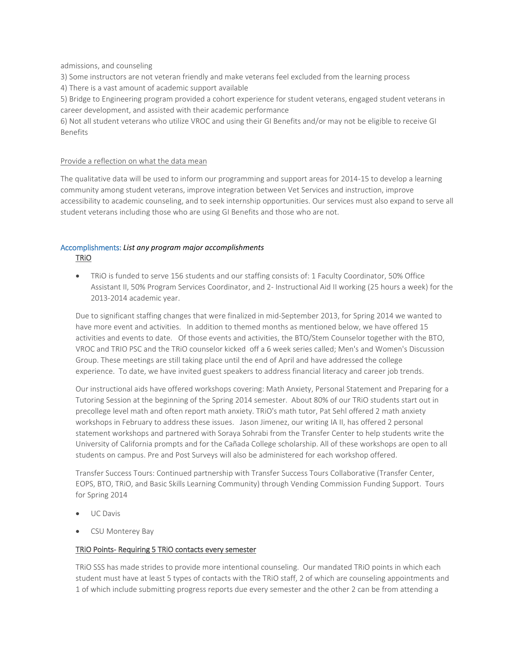admissions, and counseling

3) Some instructors are not veteran friendly and make veterans feel excluded from the learning process

4) There is a vast amount of academic support available

5) Bridge to Engineering program provided a cohort experience for student veterans, engaged student veterans in career development, and assisted with their academic performance

6) Not all student veterans who utilize VROC and using their GI Benefits and/or may not be eligible to receive GI Benefits

#### Provide a reflection on what the data mean

The qualitative data will be used to inform our programming and support areas for 2014-15 to develop a learning community among student veterans, improve integration between Vet Services and instruction, improve accessibility to academic counseling, and to seek internship opportunities. Our services must also expand to serve all student veterans including those who are using GI Benefits and those who are not.

## Accomplishments: *List any program major accomplishments* TRiO

• TRiO is funded to serve 156 students and our staffing consists of: 1 Faculty Coordinator, 50% Office Assistant II, 50% Program Services Coordinator, and 2- Instructional Aid II working (25 hours a week) for the 2013-2014 academic year.

Due to significant staffing changes that were finalized in mid-September 2013, for Spring 2014 we wanted to have more event and activities. In addition to themed months as mentioned below, we have offered 15 activities and events to date. Of those events and activities, the BTO/Stem Counselor together with the BTO, VROC and TRIO PSC and the TRiO counselor kicked off a 6 week series called; Men's and Women's Discussion Group. These meetings are still taking place until the end of April and have addressed the college experience. To date, we have invited guest speakers to address financial literacy and career job trends.

Our instructional aids have offered workshops covering: Math Anxiety, Personal Statement and Preparing for a Tutoring Session at the beginning of the Spring 2014 semester. About 80% of our TRiO students start out in precollege level math and often report math anxiety. TRiO's math tutor, Pat Sehl offered 2 math anxiety workshops in February to address these issues. Jason Jimenez, our writing IA II, has offered 2 personal statement workshops and partnered with Soraya Sohrabi from the Transfer Center to help students write the University of California prompts and for the Cañada College scholarship. All of these workshops are open to all students on campus. Pre and Post Surveys will also be administered for each workshop offered.

Transfer Success Tours: Continued partnership with Transfer Success Tours Collaborative (Transfer Center, EOPS, BTO, TRiO, and Basic Skills Learning Community) through Vending Commission Funding Support. Tours for Spring 2014

- UC Davis
- CSU Monterey Bay

#### TRiO Points- Requiring 5 TRiO contacts every semester

TRiO SSS has made strides to provide more intentional counseling. Our mandated TRiO points in which each student must have at least 5 types of contacts with the TRiO staff, 2 of which are counseling appointments and 1 of which include submitting progress reports due every semester and the other 2 can be from attending a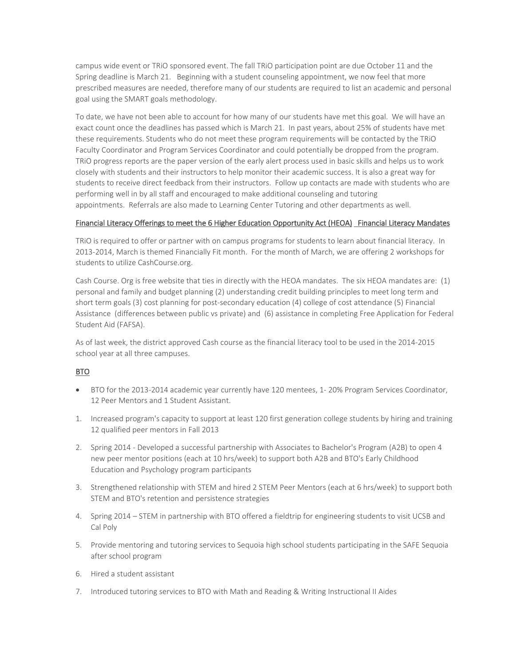campus wide event or TRiO sponsored event. The fall TRiO participation point are due October 11 and the Spring deadline is March 21. Beginning with a student counseling appointment, we now feel that more prescribed measures are needed, therefore many of our students are required to list an academic and personal goal using the SMART goals methodology.

To date, we have not been able to account for how many of our students have met this goal. We will have an exact count once the deadlines has passed which is March 21. In past years, about 25% of students have met these requirements. Students who do not meet these program requirements will be contacted by the TRiO Faculty Coordinator and Program Services Coordinator and could potentially be dropped from the program. TRiO progress reports are the paper version of the early alert process used in basic skills and helps us to work closely with students and their instructors to help monitor their academic success. It is also a great way for students to receive direct feedback from their instructors. Follow up contacts are made with students who are performing well in by all staff and encouraged to make additional counseling and tutoring appointments. Referrals are also made to Learning Center Tutoring and other departments as well.

#### Financial Literacy Offerings to meet the 6 Higher Education Opportunity Act (HEOA) Financial Literacy Mandates

TRiO is required to offer or partner with on campus programs for students to learn about financial literacy. In 2013-2014, March is themed Financially Fit month. For the month of March, we are offering 2 workshops for students to utilize CashCourse.org.

Cash Course. Org is free website that ties in directly with the HEOA mandates. The six HEOA mandates are: (1) personal and family and budget planning (2) understanding credit building principles to meet long term and short term goals (3) cost planning for post-secondary education (4) college of cost attendance (5) Financial Assistance (differences between public vs private) and (6) assistance in completing Free Application for Federal Student Aid (FAFSA).

As of last week, the district approved Cash course as the financial literacy tool to be used in the 2014-2015 school year at all three campuses.

## BTO

- BTO for the 2013-2014 academic year currently have 120 mentees, 1- 20% Program Services Coordinator, 12 Peer Mentors and 1 Student Assistant.
- 1. Increased program's capacity to support at least 120 first generation college students by hiring and training 12 qualified peer mentors in Fall 2013
- 2. Spring 2014 Developed a successful partnership with Associates to Bachelor's Program (A2B) to open 4 new peer mentor positions (each at 10 hrs/week) to support both A2B and BTO's Early Childhood Education and Psychology program participants
- 3. Strengthened relationship with STEM and hired 2 STEM Peer Mentors (each at 6 hrs/week) to support both STEM and BTO's retention and persistence strategies
- 4. Spring 2014 STEM in partnership with BTO offered a fieldtrip for engineering students to visit UCSB and Cal Poly
- 5. Provide mentoring and tutoring services to Sequoia high school students participating in the SAFE Sequoia after school program
- 6. Hired a student assistant
- 7. Introduced tutoring services to BTO with Math and Reading & Writing Instructional II Aides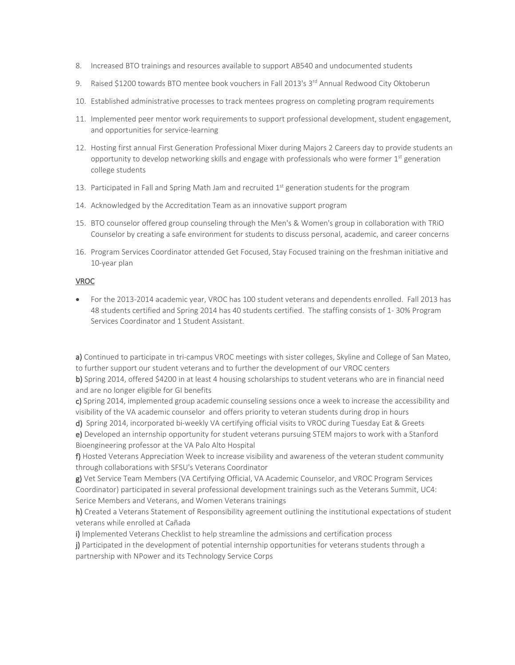- 8. Increased BTO trainings and resources available to support AB540 and undocumented students
- 9. Raised \$1200 towards BTO mentee book vouchers in Fall 2013's 3<sup>rd</sup> Annual Redwood City Oktoberun
- 10. Established administrative processes to track mentees progress on completing program requirements
- 11. Implemented peer mentor work requirements to support professional development, student engagement, and opportunities for service-learning
- 12. Hosting first annual First Generation Professional Mixer during Majors 2 Careers day to provide students an opportunity to develop networking skills and engage with professionals who were former  $1<sup>st</sup>$  generation college students
- 13. Participated in Fall and Spring Math Jam and recruited  $1<sup>st</sup>$  generation students for the program
- 14. Acknowledged by the Accreditation Team as an innovative support program
- 15. BTO counselor offered group counseling through the Men's & Women's group in collaboration with TRiO Counselor by creating a safe environment for students to discuss personal, academic, and career concerns
- 16. Program Services Coordinator attended Get Focused, Stay Focused training on the freshman initiative and 10-year plan

#### VROC

• For the 2013-2014 academic year, VROC has 100 student veterans and dependents enrolled. Fall 2013 has 48 students certified and Spring 2014 has 40 students certified. The staffing consists of 1- 30% Program Services Coordinator and 1 Student Assistant.

a) Continued to participate in tri-campus VROC meetings with sister colleges, Skyline and College of San Mateo, to further support our student veterans and to further the development of our VROC centers

b) Spring 2014, offered \$4200 in at least 4 housing scholarships to student veterans who are in financial need and are no longer eligible for GI benefits

c) Spring 2014, implemented group academic counseling sessions once a week to increase the accessibility and visibility of the VA academic counselor and offers priority to veteran students during drop in hours

d) Spring 2014, incorporated bi-weekly VA certifying official visits to VROC during Tuesday Eat & Greets

e) Developed an internship opportunity for student veterans pursuing STEM majors to work with a Stanford Bioengineering professor at the VA Palo Alto Hospital

f) Hosted Veterans Appreciation Week to increase visibility and awareness of the veteran student community through collaborations with SFSU's Veterans Coordinator

g) Vet Service Team Members (VA Certifying Official, VA Academic Counselor, and VROC Program Services Coordinator) participated in several professional development trainings such as the Veterans Summit, UC4: Serice Members and Veterans, and Women Veterans trainings

h) Created a Veterans Statement of Responsibility agreement outlining the institutional expectations of student veterans while enrolled at Cañada

i) Implemented Veterans Checklist to help streamline the admissions and certification process

j) Participated in the development of potential internship opportunities for veterans students through a partnership with NPower and its Technology Service Corps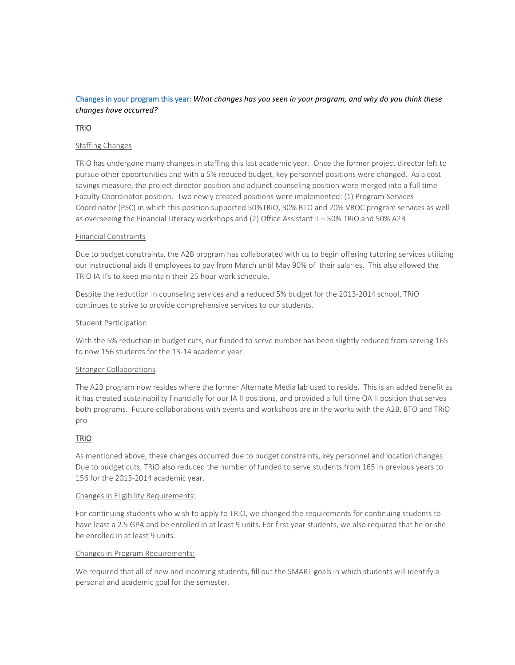## Changes in your program this year: *What changes has you seen in your program, and why do you think these changes have occurred?*

## TRiO

#### Staffing Changes

TRiO has undergone many changes in staffing this last academic year. Once the former project director left to pursue other opportunities and with a 5% reduced budget, key personnel positions were changed. As a cost savings measure, the project director position and adjunct counseling position were merged into a full time Faculty Coordinator position. Two newly created positions were implemented: (1) Program Services Coordinator (PSC) in which this position supported 50%TRiO, 30% BTO and 20% VROC program services as well as overseeing the Financial Literacy workshops and (2) Office Assistant II – 50% TRiO and 50% A2B

#### Financial Constraints

Due to budget constraints, the A2B program has collaborated with us to begin offering tutoring services utilizing our instructional aids II employees to pay from March until May 90% of their salaries. This also allowed the TRiO IA II's to keep maintain their 25 hour work schedule.

Despite the reduction in counseling services and a reduced 5% budget for the 2013-2014 school, TRiO continues to strive to provide comprehensive services to our students.

#### Student Participation

With the 5% reduction in budget cuts, our funded to serve number has been slightly reduced from serving 165 to now 156 students for the 13-14 academic year.

#### Stronger Collaborations

The A2B program now resides where the former Alternate Media lab used to reside. This is an added benefit as it has created sustainability financially for our IA II positions, and provided a full time OA II position that serves both programs. Future collaborations with events and workshops are in the works with the A2B, BTO and TRiO pro

#### TRIO

As mentioned above, these changes occurred due to budget constraints, key personnel and location changes. Due to budget cuts, TRiO also reduced the number of funded to serve students from 165 in previous years to 156 for the 2013-2014 academic year.

#### Changes in Eligibility Requirements:

For continuing students who wish to apply to TRiO, we changed the requirements for continuing students to have least a 2.5 GPA and be enrolled in at least 9 units. For first year students, we also required that he or she be enrolled in at least 9 units.

#### Changes in Program Requirements:

We required that all of new and incoming students, fill out the SMART goals in which students will identify a personal and academic goal for the semester.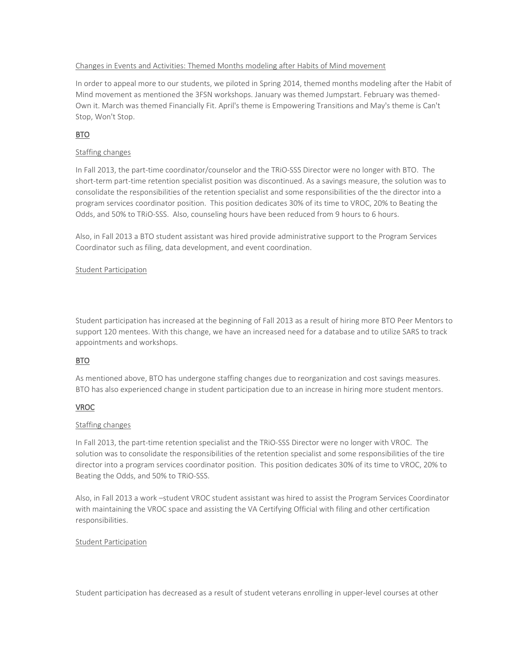#### Changes in Events and Activities: Themed Months modeling after Habits of Mind movement

In order to appeal more to our students, we piloted in Spring 2014, themed months modeling after the Habit of Mind movement as mentioned the 3FSN workshops. January was themed Jumpstart. February was themed-Own it. March was themed Financially Fit. April's theme is Empowering Transitions and May's theme is Can't Stop, Won't Stop.

## BTO

#### Staffing changes

In Fall 2013, the part-time coordinator/counselor and the TRiO-SSS Director were no longer with BTO. The short-term part-time retention specialist position was discontinued. As a savings measure, the solution was to consolidate the responsibilities of the retention specialist and some responsibilities of the the director into a program services coordinator position. This position dedicates 30% of its time to VROC, 20% to Beating the Odds, and 50% to TRiO-SSS. Also, counseling hours have been reduced from 9 hours to 6 hours.

Also, in Fall 2013 a BTO student assistant was hired provide administrative support to the Program Services Coordinator such as filing, data development, and event coordination.

#### Student Participation

Student participation has increased at the beginning of Fall 2013 as a result of hiring more BTO Peer Mentors to support 120 mentees. With this change, we have an increased need for a database and to utilize SARS to track appointments and workshops.

#### BTO

As mentioned above, BTO has undergone staffing changes due to reorganization and cost savings measures. BTO has also experienced change in student participation due to an increase in hiring more student mentors.

#### VROC

#### Staffing changes

In Fall 2013, the part-time retention specialist and the TRiO-SSS Director were no longer with VROC. The solution was to consolidate the responsibilities of the retention specialist and some responsibilities of the tire director into a program services coordinator position. This position dedicates 30% of its time to VROC, 20% to Beating the Odds, and 50% to TRiO-SSS.

Also, in Fall 2013 a work –student VROC student assistant was hired to assist the Program Services Coordinator with maintaining the VROC space and assisting the VA Certifying Official with filing and other certification responsibilities.

#### Student Participation

Student participation has decreased as a result of student veterans enrolling in upper-level courses at other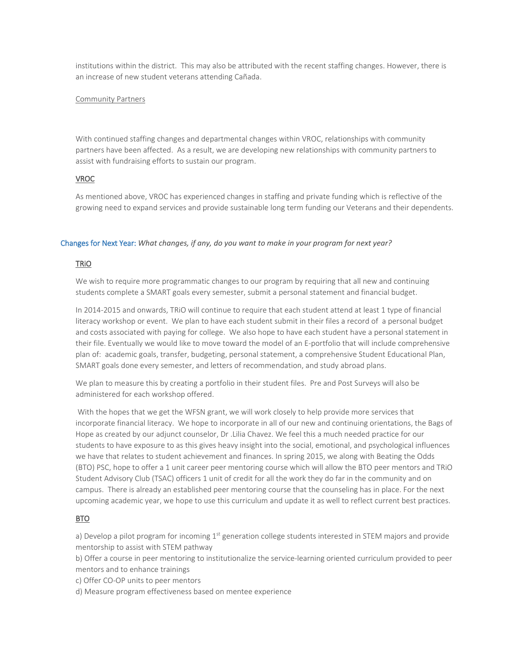institutions within the district. This may also be attributed with the recent staffing changes. However, there is an increase of new student veterans attending Cañada.

#### Community Partners

With continued staffing changes and departmental changes within VROC, relationships with community partners have been affected. As a result, we are developing new relationships with community partners to assist with fundraising efforts to sustain our program.

## VROC

As mentioned above, VROC has experienced changes in staffing and private funding which is reflective of the growing need to expand services and provide sustainable long term funding our Veterans and their dependents.

#### Changes for Next Year: *What changes, if any, do you want to make in your program for next year?*

## TRiO

We wish to require more programmatic changes to our program by requiring that all new and continuing students complete a SMART goals every semester, submit a personal statement and financial budget.

In 2014-2015 and onwards, TRiO will continue to require that each student attend at least 1 type of financial literacy workshop or event. We plan to have each student submit in their files a record of a personal budget and costs associated with paying for college. We also hope to have each student have a personal statement in their file. Eventually we would like to move toward the model of an E-portfolio that will include comprehensive plan of: academic goals, transfer, budgeting, personal statement, a comprehensive Student Educational Plan, SMART goals done every semester, and letters of recommendation, and study abroad plans.

We plan to measure this by creating a portfolio in their student files. Pre and Post Surveys will also be administered for each workshop offered.

With the hopes that we get the WFSN grant, we will work closely to help provide more services that incorporate financial literacy. We hope to incorporate in all of our new and continuing orientations, the Bags of Hope as created by our adjunct counselor, Dr .Lilia Chavez. We feel this a much needed practice for our students to have exposure to as this gives heavy insight into the social, emotional, and psychological influences we have that relates to student achievement and finances. In spring 2015, we along with Beating the Odds (BTO) PSC, hope to offer a 1 unit career peer mentoring course which will allow the BTO peer mentors and TRiO Student Advisory Club (TSAC) officers 1 unit of credit for all the work they do far in the community and on campus. There is already an established peer mentoring course that the counseling has in place. For the next upcoming academic year, we hope to use this curriculum and update it as well to reflect current best practices.

#### BTO

a) Develop a pilot program for incoming 1<sup>st</sup> generation college students interested in STEM majors and provide mentorship to assist with STEM pathway

b) Offer a course in peer mentoring to institutionalize the service-learning oriented curriculum provided to peer mentors and to enhance trainings

- c) Offer CO-OP units to peer mentors
- d) Measure program effectiveness based on mentee experience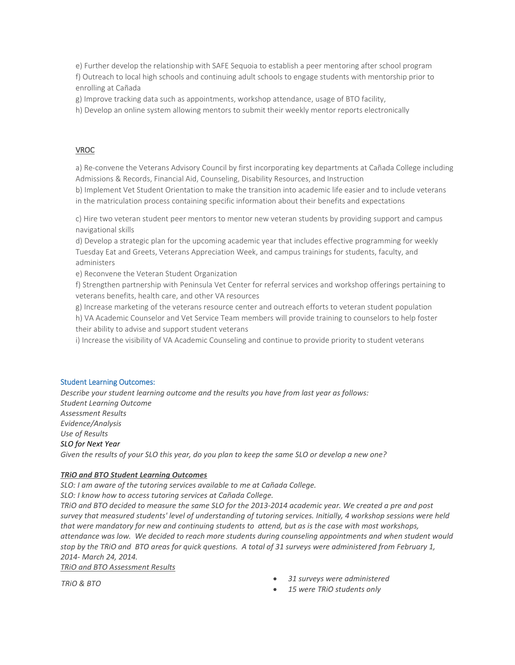e) Further develop the relationship with SAFE Sequoia to establish a peer mentoring after school program f) Outreach to local high schools and continuing adult schools to engage students with mentorship prior to enrolling at Cañada

g) Improve tracking data such as appointments, workshop attendance, usage of BTO facility,

h) Develop an online system allowing mentors to submit their weekly mentor reports electronically

#### VROC

a) Re-convene the Veterans Advisory Council by first incorporating key departments at Cañada College including Admissions & Records, Financial Aid, Counseling, Disability Resources, and Instruction

b) Implement Vet Student Orientation to make the transition into academic life easier and to include veterans in the matriculation process containing specific information about their benefits and expectations

c) Hire two veteran student peer mentors to mentor new veteran students by providing support and campus navigational skills

d) Develop a strategic plan for the upcoming academic year that includes effective programming for weekly Tuesday Eat and Greets, Veterans Appreciation Week, and campus trainings for students, faculty, and administers

e) Reconvene the Veteran Student Organization

f) Strengthen partnership with Peninsula Vet Center for referral services and workshop offerings pertaining to veterans benefits, health care, and other VA resources

g) Increase marketing of the veterans resource center and outreach efforts to veteran student population

h) VA Academic Counselor and Vet Service Team members will provide training to counselors to help foster their ability to advise and support student veterans

i) Increase the visibility of VA Academic Counseling and continue to provide priority to student veterans

#### Student Learning Outcomes:

*Describe your student learning outcome and the results you have from last year as follows: Student Learning Outcome Assessment Results Evidence/Analysis Use of Results SLO for Next Year Given the results of your SLO this year, do you plan to keep the same SLO or develop a new one?*

#### *TRiO and BTO Student Learning Outcomes*

*SLO: I am aware of the tutoring services available to me at Cañada College. SLO: I know how to access tutoring services at Cañada College.* 

*TRiO and BTO decided to measure the same SLO for the 2013-2014 academic year. We created a pre and post survey that measured students' level of understanding of tutoring services. Initially, 4 workshop sessions were held that were mandatory for new and continuing students to attend, but as is the case with most workshops, attendance was low. We decided to reach more students during counseling appointments and when student would stop by the TRiO and BTO areas for quick questions. A total of 31 surveys were administered from February 1, 2014- March 24, 2014.*

*TRiO and BTO Assessment Results*

*TRiO & BTO* • *31 surveys were administered* 

• *15 were TRiO students only*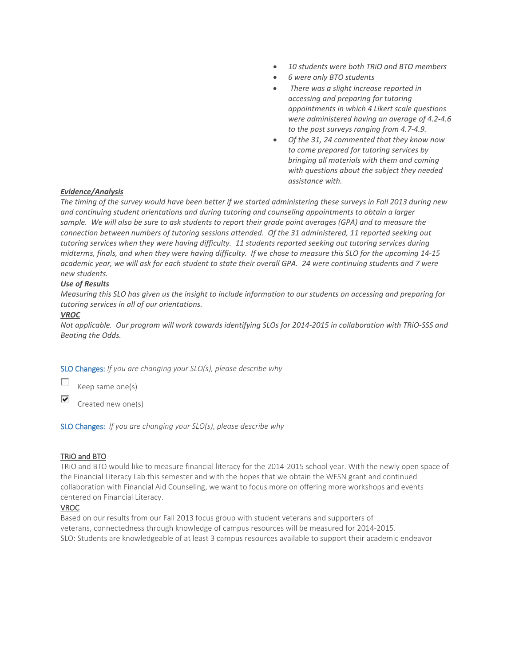- *10 students were both TRiO and BTO members*
- *6 were only BTO students*
- *There was a slight increase reported in accessing and preparing for tutoring appointments in which 4 Likert scale questions were administered having an average of 4.2-4.6 to the post surveys ranging from 4.7-4.9.*
- *Of the 31, 24 commented that they know now to come prepared for tutoring services by bringing all materials with them and coming with questions about the subject they needed assistance with.*

#### *Evidence/Analysis*

*The timing of the survey would have been better if we started administering these surveys in Fall 2013 during new and continuing student orientations and during tutoring and counseling appointments to obtain a larger sample. We will also be sure to ask students to report their grade point averages (GPA) and to measure the connection between numbers of tutoring sessions attended. Of the 31 administered, 11 reported seeking out tutoring services when they were having difficulty. 11 students reported seeking out tutoring services during midterms, finals, and when they were having difficulty. If we chose to measure this SLO for the upcoming 14-15 academic year, we will ask for each student to state their overall GPA. 24 were continuing students and 7 were new students.* 

#### *Use of Results*

*Measuring this SLO has given us the insight to include information to our students on accessing and preparing for tutoring services in all of our orientations.*

#### *VROC*

П

*Not applicable. Our program will work towards identifying SLOs for 2014-2015 in collaboration with TRiO-SSS and Beating the Odds.*

SLO Changes: *If you are changing your SLO(s), please describe why*

Keep same one(s)

⊽ Created new one(s)

SLO Changes: *If you are changing your SLO(s), please describe why*

#### TRiO and BTO

TRiO and BTO would like to measure financial literacy for the 2014-2015 school year. With the newly open space of the Financial Literacy Lab this semester and with the hopes that we obtain the WFSN grant and continued collaboration with Financial Aid Counseling, we want to focus more on offering more workshops and events centered on Financial Literacy.

#### VROC

Based on our results from our Fall 2013 focus group with student veterans and supporters of veterans, connectedness through knowledge of campus resources will be measured for 2014-2015. SLO: Students are knowledgeable of at least 3 campus resources available to support their academic endeavor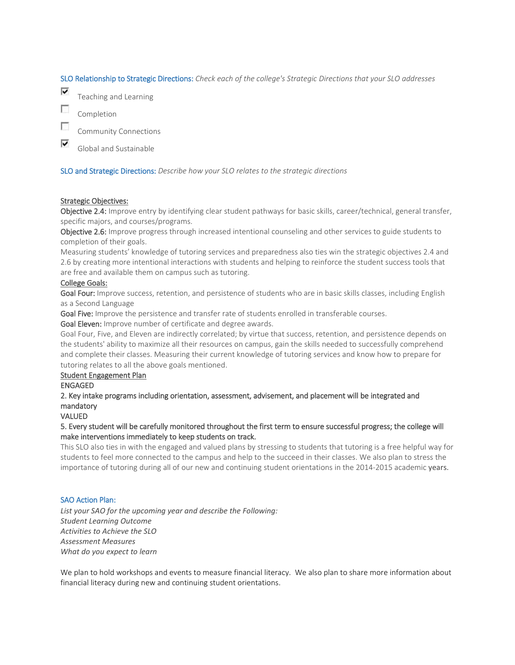SLO Relationship to Strategic Directions: *Check each of the college's Strategic Directions that your SLO addresses*

⊽ Teaching and Learning

F Completion

г Community Connections

⊽ Global and Sustainable

SLO and Strategic Directions: *Describe how your SLO relates to the strategic directions*

#### Strategic Objectives:

Objective 2.4: Improve entry by identifying clear student pathways for basic skills, career/technical, general transfer, specific majors, and courses/programs.

Objective 2.6: Improve progress through increased intentional counseling and other services to guide students to completion of their goals.

Measuring students' knowledge of tutoring services and preparedness also ties win the strategic objectives 2.4 and 2.6 by creating more intentional interactions with students and helping to reinforce the student success tools that are free and available them on campus such as tutoring.

#### College Goals:

Goal Four: Improve success, retention, and persistence of students who are in basic skills classes, including English as a Second Language

Goal Five: Improve the persistence and transfer rate of students enrolled in transferable courses.

Goal Eleven: Improve number of certificate and degree awards.

Goal Four, Five, and Eleven are indirectly correlated; by virtue that success, retention, and persistence depends on the students' ability to maximize all their resources on campus, gain the skills needed to successfully comprehend and complete their classes. Measuring their current knowledge of tutoring services and know how to prepare for tutoring relates to all the above goals mentioned.

#### Student Engagement Plan

ENGAGED

2. Key intake programs including orientation, assessment, advisement, and placement will be integrated and mandatory

VALUED

5. Every student will be carefully monitored throughout the first term to ensure successful progress; the college will make interventions immediately to keep students on track.

This SLO also ties in with the engaged and valued plans by stressing to students that tutoring is a free helpful way for students to feel more connected to the campus and help to the succeed in their classes. We also plan to stress the importance of tutoring during all of our new and continuing student orientations in the 2014-2015 academic years.

#### SAO Action Plan:

*List your SAO for the upcoming year and describe the Following: Student Learning Outcome Activities to Achieve the SLO Assessment Measures What do you expect to learn*

We plan to hold workshops and events to measure financial literacy. We also plan to share more information about financial literacy during new and continuing student orientations.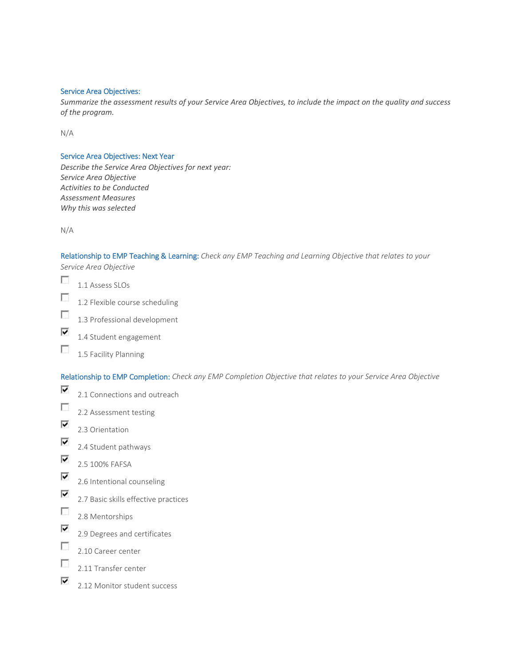#### Service Area Objectives:

*Summarize the assessment results of your Service Area Objectives, to include the impact on the quality and success of the program.*

N/A

#### Service Area Objectives: Next Year

*Describe the Service Area Objectives for next year: Service Area Objective Activities to be Conducted Assessment Measures Why this was selected*

N/A

# Relationship to EMP Teaching & Learning: *Check any EMP Teaching and Learning Objective that relates to your*

*Service Area Objective*

- $\mathcal{L}_{\mathcal{L}}$ 1.1 Assess SLOs
- $\overline{\mathcal{L}}$ 1.2 Flexible course scheduling
- $\sim$ 1.3 Professional development
- ⊽ 1.4 Student engagement
- $\overline{\mathcal{L}}$ 1.5 Facility Planning

Relationship to EMP Completion: *Check any EMP Completion Objective that relates to your Service Area Objective*

- ⊽ 2.1 Connections and outreach  $\sim$ 2.2 Assessment testing
- ⊽
	- 2.3 Orientation
- ⊽ 2.4 Student pathways
- ⊽ 2.5 100% FAFSA
- ⊽ 2.6 Intentional counseling
- ⊽ 2.7 Basic skills effective practices
- $\overline{\mathcal{L}}$ 2.8 Mentorships
- ⊽ 2.9 Degrees and certificates
- $\overline{\mathcal{L}}$ 2.10 Career center
- $\mathcal{L}_{\mathcal{L}}$ 2.11 Transfer center
- ⊽ 2.12 Monitor student success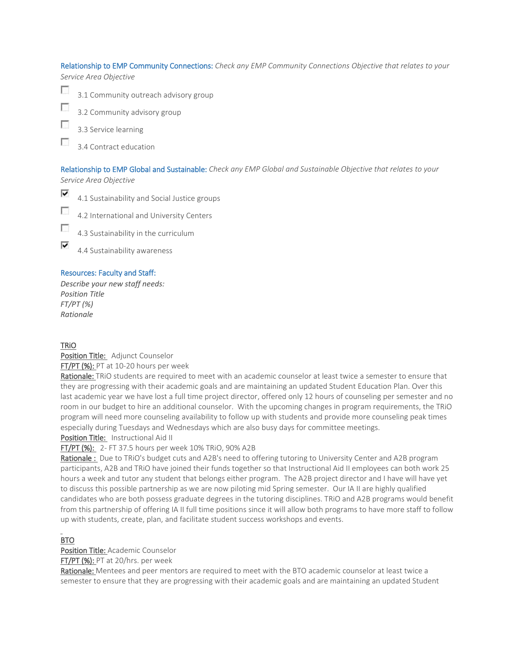Relationship to EMP Community Connections: *Check any EMP Community Connections Objective that relates to your Service Area Objective*



Г 3.2 Community advisory group

3.3 Service learning

г 3.4 Contract education

## Relationship to EMP Global and Sustainable: *Check any EMP Global and Sustainable Objective that relates to your*

*Service Area Objective*



п 4.2 International and University Centers



⊽ 4.4 Sustainability awareness

## Resources: Faculty and Staff:

*Describe your new staff needs: Position Title FT/PT (%) Rationale*

## TRiO

Position Title: Adjunct Counselor FT/PT (%): PT at 10-20 hours per week

Rationale: TRIO students are required to meet with an academic counselor at least twice a semester to ensure that they are progressing with their academic goals and are maintaining an updated Student Education Plan. Over this last academic year we have lost a full time project director, offered only 12 hours of counseling per semester and no room in our budget to hire an additional counselor. With the upcoming changes in program requirements, the TRiO program will need more counseling availability to follow up with students and provide more counseling peak times especially during Tuesdays and Wednesdays which are also busy days for committee meetings.

Position Title: Instructional Aid II

FT/PT (%): 2- FT 37.5 hours per week 10% TRiO, 90% A2B

Rationale : Due to TRiO's budget cuts and A2B's need to offering tutoring to University Center and A2B program participants, A2B and TRiO have joined their funds together so that Instructional Aid II employees can both work 25 hours a week and tutor any student that belongs either program. The A2B project director and I have will have yet to discuss this possible partnership as we are now piloting mid Spring semester. Our IA II are highly qualified candidates who are both possess graduate degrees in the tutoring disciplines. TRiO and A2B programs would benefit from this partnership of offering IA II full time positions since it will allow both programs to have more staff to follow up with students, create, plan, and facilitate student success workshops and events.

#### $\overline{a}$ BTO

Position Title: Academic Counselor

FT/PT (%): PT at 20/hrs. per week

Rationale: Mentees and peer mentors are required to meet with the BTO academic counselor at least twice a semester to ensure that they are progressing with their academic goals and are maintaining an updated Student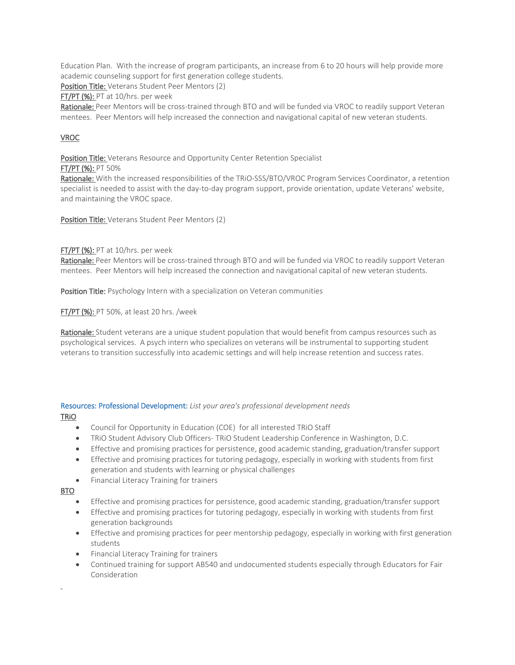Education Plan. With the increase of program participants, an increase from 6 to 20 hours will help provide more academic counseling support for first generation college students.

Position Title: Veterans Student Peer Mentors (2)

FT/PT (%): PT at 10/hrs. per week

Rationale: Peer Mentors will be cross-trained through BTO and will be funded via VROC to readily support Veteran mentees. Peer Mentors will help increased the connection and navigational capital of new veteran students.

## VROC

Position Title: Veterans Resource and Opportunity Center Retention Specialist

#### FT/PT (%): PT 50%

Rationale: With the increased responsibilities of the TRiO-SSS/BTO/VROC Program Services Coordinator, a retention specialist is needed to assist with the day-to-day program support, provide orientation, update Veterans' website, and maintaining the VROC space.

Position Title: Veterans Student Peer Mentors (2)

#### FT/PT (%): PT at 10/hrs. per week

Rationale: Peer Mentors will be cross-trained through BTO and will be funded via VROC to readily support Veteran mentees. Peer Mentors will help increased the connection and navigational capital of new veteran students.

Position Title: Psychology Intern with a specialization on Veteran communities

FT/PT (%): PT 50%, at least 20 hrs. /week

Rationale: Student veterans are a unique student population that would benefit from campus resources such as psychological services. A psych intern who specializes on veterans will be instrumental to supporting student veterans to transition successfully into academic settings and will help increase retention and success rates.

#### Resources: Professional Development: *List your area's professional development needs* TRiO

- Council for Opportunity in Education (COE) for all interested TRiO Staff
- TRiO Student Advisory Club Officers- TRiO Student Leadership Conference in Washington, D.C.
- Effective and promising practices for persistence, good academic standing, graduation/transfer support
- Effective and promising practices for tutoring pedagogy, especially in working with students from first generation and students with learning or physical challenges
- Financial Literacy Training for trainers

BTO

l,

- Effective and promising practices for persistence, good academic standing, graduation/transfer support
- Effective and promising practices for tutoring pedagogy, especially in working with students from first generation backgrounds
- Effective and promising practices for peer mentorship pedagogy, especially in working with first generation students
- Financial Literacy Training for trainers
- Continued training for support AB540 and undocumented students especially through Educators for Fair Consideration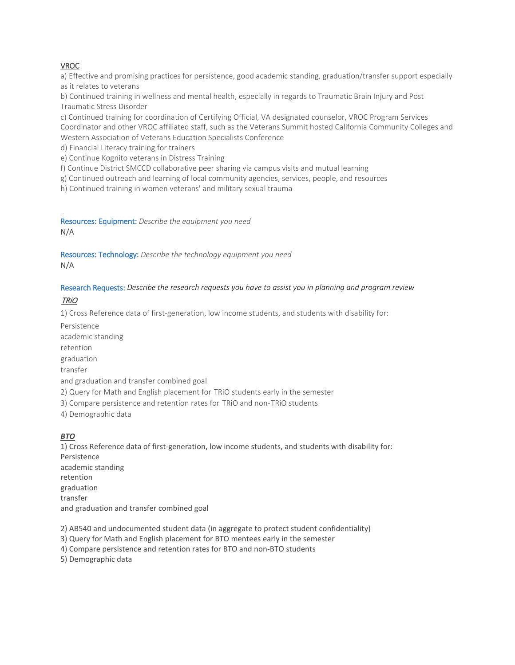## VROC

a) Effective and promising practices for persistence, good academic standing, graduation/transfer support especially as it relates to veterans

b) Continued training in wellness and mental health, especially in regards to Traumatic Brain Injury and Post Traumatic Stress Disorder

c) Continued training for coordination of Certifying Official, VA designated counselor, VROC Program Services Coordinator and other VROC affiliated staff, such as the Veterans Summit hosted California Community Colleges and Western Association of Veterans Education Specialists Conference

d) Financial Literacy training for trainers

e) Continue Kognito veterans in Distress Training

f) Continue District SMCCD collaborative peer sharing via campus visits and mutual learning

g) Continued outreach and learning of local community agencies, services, people, and resources

h) Continued training in women veterans' and military sexual trauma

Resources: Equipment: *Describe the equipment you need*

N/A

l,

Resources: Technology: *Describe the technology equipment you need* N/A

## Research Requests: *Describe the research requests you have to assist you in planning and program review*

## TRiO

1) Cross Reference data of first-generation, low income students, and students with disability for:

Persistence

academic standing

retention

graduation

transfer

and graduation and transfer combined goal

2) Query for Math and English placement for TRiO students early in the semester

3) Compare persistence and retention rates for TRiO and non-TRiO students

4) Demographic data

## *BTO*

1) Cross Reference data of first-generation, low income students, and students with disability for: Persistence academic standing retention graduation transfer and graduation and transfer combined goal

2) AB540 and undocumented student data (in aggregate to protect student confidentiality)

3) Query for Math and English placement for BTO mentees early in the semester

4) Compare persistence and retention rates for BTO and non-BTO students

5) Demographic data